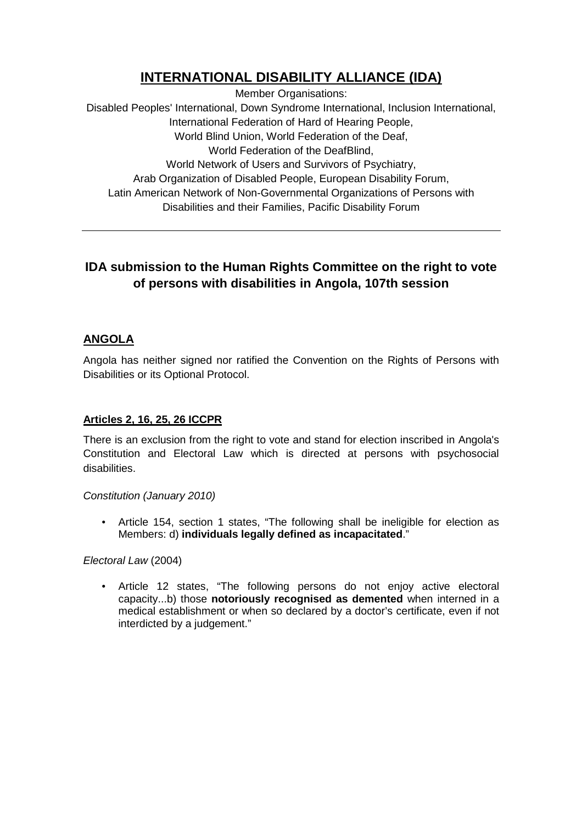# **INTERNATIONAL DISABILITY ALLIANCE (IDA)**

Member Organisations: Disabled Peoples' International, Down Syndrome International, Inclusion International, International Federation of Hard of Hearing People, World Blind Union, World Federation of the Deaf, World Federation of the DeafBlind, World Network of Users and Survivors of Psychiatry, Arab Organization of Disabled People, European Disability Forum, Latin American Network of Non-Governmental Organizations of Persons with Disabilities and their Families, Pacific Disability Forum

## **IDA submission to the Human Rights Committee on the right to vote of persons with disabilities in Angola, 107th session**

### **ANGOLA**

Angola has neither signed nor ratified the Convention on the Rights of Persons with Disabilities or its Optional Protocol.

#### **Articles 2, 16, 25, 26 ICCPR**

There is an exclusion from the right to vote and stand for election inscribed in Angola's Constitution and Electoral Law which is directed at persons with psychosocial disabilities.

#### Constitution (January 2010)

• Article 154, section 1 states, "The following shall be ineligible for election as Members: d) **individuals legally defined as incapacitated**."

#### Electoral Law (2004)

• Article 12 states, "The following persons do not enjoy active electoral capacity...b) those **notoriously recognised as demented** when interned in a medical establishment or when so declared by a doctor's certificate, even if not interdicted by a judgement."